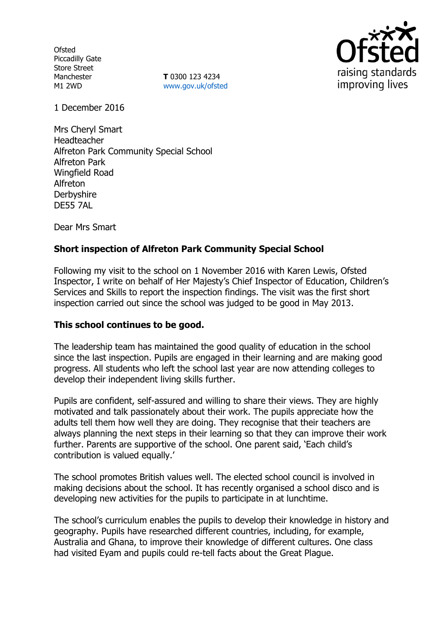**Ofsted** Piccadilly Gate Store Street Manchester M1 2WD

**T** 0300 123 4234 www.gov.uk/ofsted



1 December 2016

Mrs Cheryl Smart Headteacher Alfreton Park Community Special School Alfreton Park Wingfield Road Alfreton **Derbyshire** DE55 7AL

Dear Mrs Smart

# **Short inspection of Alfreton Park Community Special School**

Following my visit to the school on 1 November 2016 with Karen Lewis, Ofsted Inspector, I write on behalf of Her Majesty's Chief Inspector of Education, Children's Services and Skills to report the inspection findings. The visit was the first short inspection carried out since the school was judged to be good in May 2013.

## **This school continues to be good.**

The leadership team has maintained the good quality of education in the school since the last inspection. Pupils are engaged in their learning and are making good progress. All students who left the school last year are now attending colleges to develop their independent living skills further.

Pupils are confident, self-assured and willing to share their views. They are highly motivated and talk passionately about their work. The pupils appreciate how the adults tell them how well they are doing. They recognise that their teachers are always planning the next steps in their learning so that they can improve their work further. Parents are supportive of the school. One parent said, 'Each child's contribution is valued equally.'

The school promotes British values well. The elected school council is involved in making decisions about the school. It has recently organised a school disco and is developing new activities for the pupils to participate in at lunchtime.

The school's curriculum enables the pupils to develop their knowledge in history and geography. Pupils have researched different countries, including, for example, Australia and Ghana, to improve their knowledge of different cultures. One class had visited Eyam and pupils could re-tell facts about the Great Plague.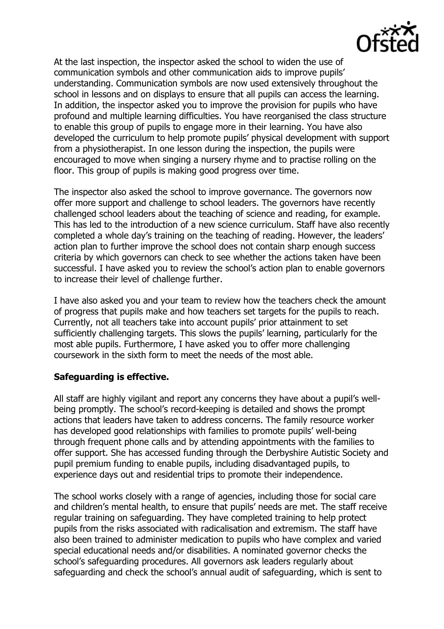

At the last inspection, the inspector asked the school to widen the use of communication symbols and other communication aids to improve pupils' understanding. Communication symbols are now used extensively throughout the school in lessons and on displays to ensure that all pupils can access the learning. In addition, the inspector asked you to improve the provision for pupils who have profound and multiple learning difficulties. You have reorganised the class structure to enable this group of pupils to engage more in their learning. You have also developed the curriculum to help promote pupils' physical development with support from a physiotherapist. In one lesson during the inspection, the pupils were encouraged to move when singing a nursery rhyme and to practise rolling on the floor. This group of pupils is making good progress over time.

The inspector also asked the school to improve governance. The governors now offer more support and challenge to school leaders. The governors have recently challenged school leaders about the teaching of science and reading, for example. This has led to the introduction of a new science curriculum. Staff have also recently completed a whole day's training on the teaching of reading. However, the leaders' action plan to further improve the school does not contain sharp enough success criteria by which governors can check to see whether the actions taken have been successful. I have asked you to review the school's action plan to enable governors to increase their level of challenge further.

I have also asked you and your team to review how the teachers check the amount of progress that pupils make and how teachers set targets for the pupils to reach. Currently, not all teachers take into account pupils' prior attainment to set sufficiently challenging targets. This slows the pupils' learning, particularly for the most able pupils. Furthermore, I have asked you to offer more challenging coursework in the sixth form to meet the needs of the most able.

## **Safeguarding is effective.**

All staff are highly vigilant and report any concerns they have about a pupil's wellbeing promptly. The school's record-keeping is detailed and shows the prompt actions that leaders have taken to address concerns. The family resource worker has developed good relationships with families to promote pupils' well-being through frequent phone calls and by attending appointments with the families to offer support. She has accessed funding through the Derbyshire Autistic Society and pupil premium funding to enable pupils, including disadvantaged pupils, to experience days out and residential trips to promote their independence.

The school works closely with a range of agencies, including those for social care and children's mental health, to ensure that pupils' needs are met. The staff receive regular training on safeguarding. They have completed training to help protect pupils from the risks associated with radicalisation and extremism. The staff have also been trained to administer medication to pupils who have complex and varied special educational needs and/or disabilities. A nominated governor checks the school's safeguarding procedures. All governors ask leaders regularly about safeguarding and check the school's annual audit of safeguarding, which is sent to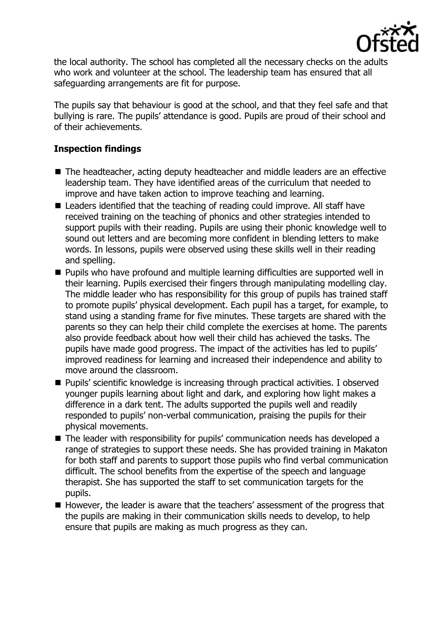

the local authority. The school has completed all the necessary checks on the adults who work and volunteer at the school. The leadership team has ensured that all safeguarding arrangements are fit for purpose.

The pupils say that behaviour is good at the school, and that they feel safe and that bullying is rare. The pupils' attendance is good. Pupils are proud of their school and of their achievements.

## **Inspection findings**

- The headteacher, acting deputy headteacher and middle leaders are an effective leadership team. They have identified areas of the curriculum that needed to improve and have taken action to improve teaching and learning.
- Leaders identified that the teaching of reading could improve. All staff have received training on the teaching of phonics and other strategies intended to support pupils with their reading. Pupils are using their phonic knowledge well to sound out letters and are becoming more confident in blending letters to make words. In lessons, pupils were observed using these skills well in their reading and spelling.
- **Pupils who have profound and multiple learning difficulties are supported well in** their learning. Pupils exercised their fingers through manipulating modelling clay. The middle leader who has responsibility for this group of pupils has trained staff to promote pupils' physical development. Each pupil has a target, for example, to stand using a standing frame for five minutes. These targets are shared with the parents so they can help their child complete the exercises at home. The parents also provide feedback about how well their child has achieved the tasks. The pupils have made good progress. The impact of the activities has led to pupils' improved readiness for learning and increased their independence and ability to move around the classroom.
- Pupils' scientific knowledge is increasing through practical activities. I observed younger pupils learning about light and dark, and exploring how light makes a difference in a dark tent. The adults supported the pupils well and readily responded to pupils' non-verbal communication, praising the pupils for their physical movements.
- The leader with responsibility for pupils' communication needs has developed a range of strategies to support these needs. She has provided training in Makaton for both staff and parents to support those pupils who find verbal communication difficult. The school benefits from the expertise of the speech and language therapist. She has supported the staff to set communication targets for the pupils.
- However, the leader is aware that the teachers' assessment of the progress that the pupils are making in their communication skills needs to develop, to help ensure that pupils are making as much progress as they can.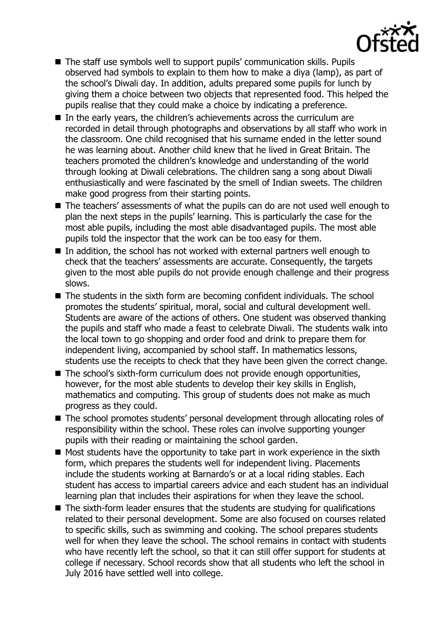

- The staff use symbols well to support pupils' communication skills. Pupils observed had symbols to explain to them how to make a diya (lamp), as part of the school's Diwali day. In addition, adults prepared some pupils for lunch by giving them a choice between two objects that represented food. This helped the pupils realise that they could make a choice by indicating a preference.
- In the early years, the children's achievements across the curriculum are recorded in detail through photographs and observations by all staff who work in the classroom. One child recognised that his surname ended in the letter sound he was learning about. Another child knew that he lived in Great Britain. The teachers promoted the children's knowledge and understanding of the world through looking at Diwali celebrations. The children sang a song about Diwali enthusiastically and were fascinated by the smell of Indian sweets. The children make good progress from their starting points.
- The teachers' assessments of what the pupils can do are not used well enough to plan the next steps in the pupils' learning. This is particularly the case for the most able pupils, including the most able disadvantaged pupils. The most able pupils told the inspector that the work can be too easy for them.
- $\blacksquare$  In addition, the school has not worked with external partners well enough to check that the teachers' assessments are accurate. Consequently, the targets given to the most able pupils do not provide enough challenge and their progress slows.
- The students in the sixth form are becoming confident individuals. The school promotes the students' spiritual, moral, social and cultural development well. Students are aware of the actions of others. One student was observed thanking the pupils and staff who made a feast to celebrate Diwali. The students walk into the local town to go shopping and order food and drink to prepare them for independent living, accompanied by school staff. In mathematics lessons, students use the receipts to check that they have been given the correct change.
- The school's sixth-form curriculum does not provide enough opportunities, however, for the most able students to develop their key skills in English, mathematics and computing. This group of students does not make as much progress as they could.
- The school promotes students' personal development through allocating roles of responsibility within the school. These roles can involve supporting younger pupils with their reading or maintaining the school garden.
- $\blacksquare$  Most students have the opportunity to take part in work experience in the sixth form, which prepares the students well for independent living. Placements include the students working at Barnardo's or at a local riding stables. Each student has access to impartial careers advice and each student has an individual learning plan that includes their aspirations for when they leave the school.
- The sixth-form leader ensures that the students are studying for qualifications related to their personal development. Some are also focused on courses related to specific skills, such as swimming and cooking. The school prepares students well for when they leave the school. The school remains in contact with students who have recently left the school, so that it can still offer support for students at college if necessary. School records show that all students who left the school in July 2016 have settled well into college.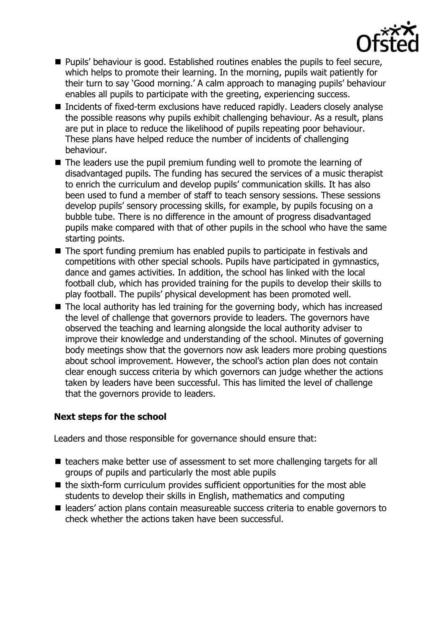

- Pupils' behaviour is good. Established routines enables the pupils to feel secure, which helps to promote their learning. In the morning, pupils wait patiently for their turn to say 'Good morning.' A calm approach to managing pupils' behaviour enables all pupils to participate with the greeting, experiencing success.
- Incidents of fixed-term exclusions have reduced rapidly. Leaders closely analyse the possible reasons why pupils exhibit challenging behaviour. As a result, plans are put in place to reduce the likelihood of pupils repeating poor behaviour. These plans have helped reduce the number of incidents of challenging behaviour.
- The leaders use the pupil premium funding well to promote the learning of disadvantaged pupils. The funding has secured the services of a music therapist to enrich the curriculum and develop pupils' communication skills. It has also been used to fund a member of staff to teach sensory sessions. These sessions develop pupils' sensory processing skills, for example, by pupils focusing on a bubble tube. There is no difference in the amount of progress disadvantaged pupils make compared with that of other pupils in the school who have the same starting points.
- The sport funding premium has enabled pupils to participate in festivals and competitions with other special schools. Pupils have participated in gymnastics, dance and games activities. In addition, the school has linked with the local football club, which has provided training for the pupils to develop their skills to play football. The pupils' physical development has been promoted well.
- $\blacksquare$  The local authority has led training for the governing body, which has increased the level of challenge that governors provide to leaders. The governors have observed the teaching and learning alongside the local authority adviser to improve their knowledge and understanding of the school. Minutes of governing body meetings show that the governors now ask leaders more probing questions about school improvement. However, the school's action plan does not contain clear enough success criteria by which governors can judge whether the actions taken by leaders have been successful. This has limited the level of challenge that the governors provide to leaders.

## **Next steps for the school**

Leaders and those responsible for governance should ensure that:

- teachers make better use of assessment to set more challenging targets for all groups of pupils and particularly the most able pupils
- $\blacksquare$  the sixth-form curriculum provides sufficient opportunities for the most able students to develop their skills in English, mathematics and computing
- leaders' action plans contain measureable success criteria to enable governors to check whether the actions taken have been successful.